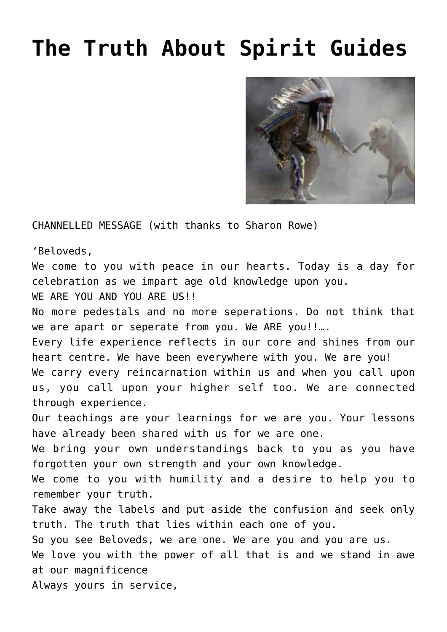## **[The Truth About Spirit Guides](https://soulconnections.co.za/blog/2016/05/12/the-truth-about-spirit-guides/)**



CHANNELLED MESSAGE (with thanks to Sharon Rowe)

'Beloveds,

We come to you with peace in our hearts. Today is a day for celebration as we impart age old knowledge upon you.

WE ARE YOU AND YOU ARE US!!

No more pedestals and no more seperations. Do not think that we are apart or seperate from you. We ARE you!!...

Every life experience reflects in our core and shines from our heart centre. We have been everywhere with you. We are you! We carry every reincarnation within us and when you call upon us, you call upon your higher self too. We are connected through experience.

Our teachings are your learnings for we are you. Your lessons have already been shared with us for we are one.

We bring your own understandings back to you as you have forgotten your own strength and your own knowledge.

We come to you with humility and a desire to help you to remember your truth.

Take away the labels and put aside the confusion and seek only truth. The truth that lies within each one of you.

So you see Beloveds, we are one. We are you and you are us.

We love you with the power of all that is and we stand in awe at our magnificence

Always yours in service,